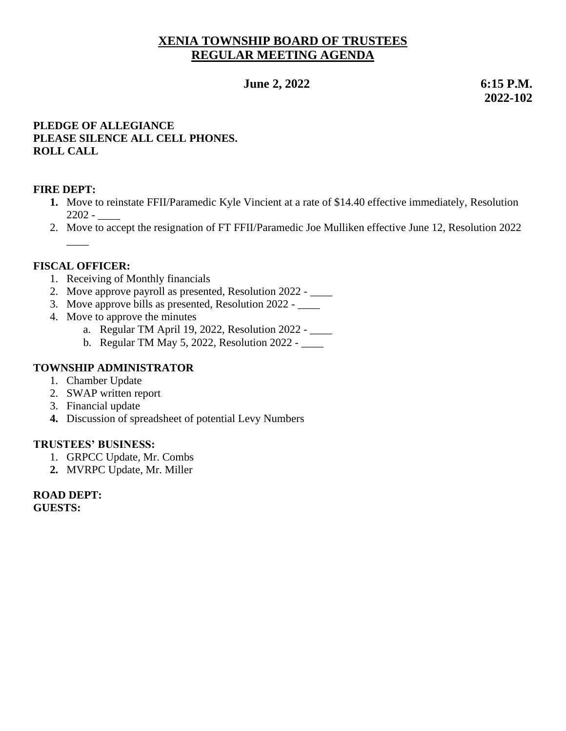# **XENIA TOWNSHIP BOARD OF TRUSTEES REGULAR MEETING AGENDA**

**1 June 2, 2022** 6:15 **P.M.** 

 **2022-102**

### **PLEDGE OF ALLEGIANCE PLEASE SILENCE ALL CELL PHONES. ROLL CALL**

### **FIRE DEPT:**

- **1.** Move to reinstate FFII/Paramedic Kyle Vincient at a rate of \$14.40 effective immediately, Resolution 2202 - \_\_\_\_
- 2. Move to accept the resignation of FT FFII/Paramedic Joe Mulliken effective June 12, Resolution 2022  $\overline{\phantom{a}}$

#### **FISCAL OFFICER:**

- 1. Receiving of Monthly financials
- 2. Move approve payroll as presented, Resolution 2022 \_\_\_\_\_
- 3. Move approve bills as presented, Resolution 2022 \_\_\_\_
- 4. Move to approve the minutes
	- a. Regular TM April 19, 2022, Resolution 2022 \_\_\_\_
	- b. Regular TM May 5, 2022, Resolution 2022 \_\_\_\_

#### **TOWNSHIP ADMINISTRATOR**

- 1. Chamber Update
- 2. SWAP written report
- 3. Financial update
- **4.** Discussion of spreadsheet of potential Levy Numbers

#### **TRUSTEES' BUSINESS:**

- 1. GRPCC Update, Mr. Combs
- **2.** MVRPC Update, Mr. Miller

#### **ROAD DEPT:**

**GUESTS:**